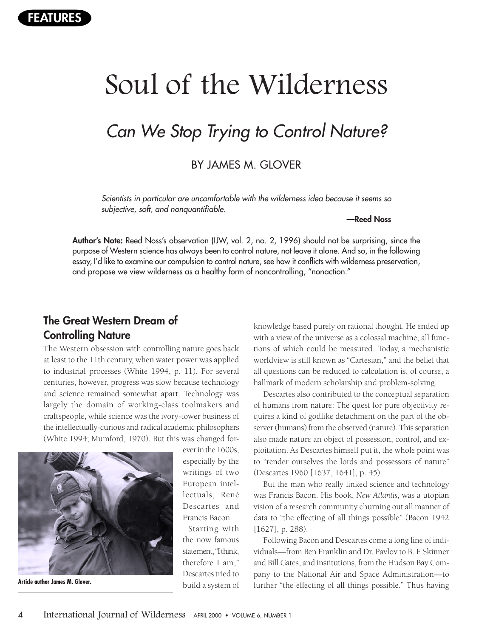# Soul of the Wilderness

## Can We Stop Trying to Control Nature?

BY JAMES M. GLOVER

Scientists in particular are uncomfortable with the wilderness idea because it seems so subjective, soft, and nonquantifiable.

**—Reed Noss**

**Author's Note:** Reed Noss's observation (IJW, vol. 2, no. 2, 1996) should not be surprising, since the purpose of Western science has always been to control nature, not leave it alone. And so, in the following essay, I'd like to examine our compulsion to control nature, see how it conflicts with wilderness preservation, and propose we view wilderness as a healthy form of noncontrolling, "nonaction."

### **The Great Western Dream of Controlling Nature**

The Western obsession with controlling nature goes back at least to the 11th century, when water power was applied to industrial processes (White 1994, p. 11). For several centuries, however, progress was slow because technology and science remained somewhat apart. Technology was largely the domain of working-class toolmakers and craftspeople, while science was the ivory-tower business of the intellectually-curious and radical academic philosophers (White 1994; Mumford, 1970). But this was changed for-



ever in the 1600s, especially by the writings of two European intellectuals, René Descartes and Francis Bacon.

Starting with the now famous statement, "I think, therefore I am," Descartes tried to build a system of

knowledge based purely on rational thought. He ended up with a view of the universe as a colossal machine, all functions of which could be measured. Today, a mechanistic worldview is still known as "Cartesian," and the belief that all questions can be reduced to calculation is, of course, a hallmark of modern scholarship and problem-solving.

Descartes also contributed to the conceptual separation of humans from nature: The quest for pure objectivity requires a kind of godlike detachment on the part of the observer (humans) from the observed (nature). This separation also made nature an object of possession, control, and exploitation. As Descartes himself put it, the whole point was to "render ourselves the lords and possessors of nature" (Descartes 1960 [1637, 1641], p. 45).

But the man who really linked science and technology was Francis Bacon. His book, *New Atlantis,* was a utopian vision of a research community churning out all manner of data to "the effecting of all things possible" (Bacon 1942 [1627], p. 288).

Following Bacon and Descartes come a long line of individuals—from Ben Franklin and Dr. Pavlov to B. F. Skinner and Bill Gates, and institutions, from the Hudson Bay Company to the National Air and Space Administration—to Article author James M. Glover.<br> **Article author James M. Glover. And Article and Article and Article and Article author** further "the effecting of all things possible." Thus having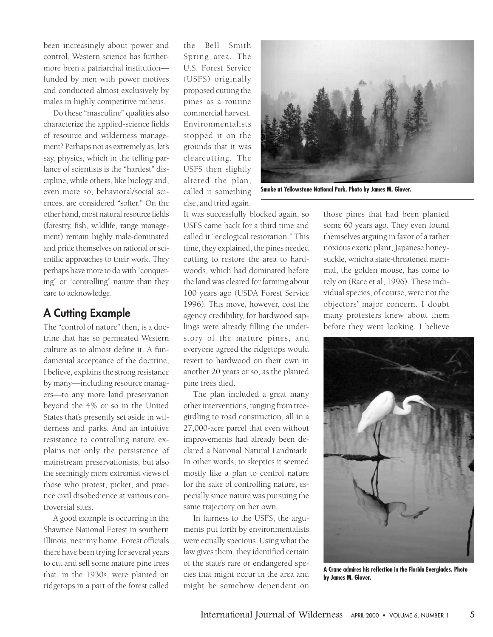been increasingly about power and control, Western science has furthermore been a patriarchal institution funded by men with power motives and conducted almost exclusively by males in highly competitive milieus.

Do these "masculine" qualities also characterize the applied-science fields of resource and wilderness management? Perhaps not as extremely as, let's say, physics, which in the telling parlance of scientists is the "hardest" discipline, while others, like biology and, even more so, behavioral/social sciences, are considered "softer." On the other hand, most natural resource fields (forestry, fish, wildlife, range management) remain highly male-dominated and pride themselves on rational or scientific approaches to their work. They perhaps have more to do with "conquering" or "controlling" nature than they care to acknowledge.

#### **A Cutting Example**

The "control of nature" then, is a doctrine that has so permeated Western culture as to almost define it. A fundamental acceptance of the doctrine, I believe, explains the strong resistance by many—including resource managers—to any more land preservation beyond the 4% or so in the United States that's presently set aside in wilderness and parks. And an intuitive resistance to controlling nature explains not only the persistence of mainstream preservationists, but also the seemingly more extremist views of those who protest, picket, and practice civil disobedience at various controversial sites.

A good example is occurring in the Shawnee National Forest in southern Illinois, near my home. Forest officials there have been trying for several years to cut and sell some mature pine trees that, in the 1930s, were planted on ridgetops in a part of the forest called

the Bell Smith Spring area. The U.S. Forest Service (USFS) originally proposed cutting the pines as a routine commercial harvest. Environmentalists stopped it on the grounds that it was clearcutting. The USFS then slightly altered the plan, called it something else, and tried again.

It was successfully blocked again, so USFS came back for a third time and called it "ecological restoration." This time, they explained, the pines needed cutting to restore the area to hardwoods, which had dominated before the land was cleared for farming about 100 years ago (USDA Forest Service 1996). This move, however, cost the agency credibility, for hardwood saplings were already filling the understory of the mature pines, and everyone agreed the ridgetops would revert to hardwood on their own in another 20 years or so, as the planted pine trees died.

The plan included a great many other interventions, ranging from treegirdling to road construction, all in a 27,000-acre parcel that even without improvements had already been declared a National Natural Landmark. In other words, to skeptics it seemed mostly like a plan to control nature for the sake of controlling nature, especially since nature was pursuing the same trajectory on her own.

In fairness to the USFS, the arguments put forth by environmentalists were equally specious. Using what the law gives them, they identified certain of the state's rare or endangered species that might occur in the area and might be somehow dependent on



**Smoke at Yellowstone National Park. Photo by James M. Glover.**

those pines that had been planted some 60 years ago. They even found themselves arguing in favor of a rather noxious exotic plant, Japanese honeysuckle, which a state-threatened mammal, the golden mouse, has come to rely on (Race et al, 1996). These individual species, of course, were not the objectors' major concern. I doubt many protesters knew about them before they went looking. I believe



**A Crane admires his reflection in the Florida Everglades. Photo by James M. Glover.**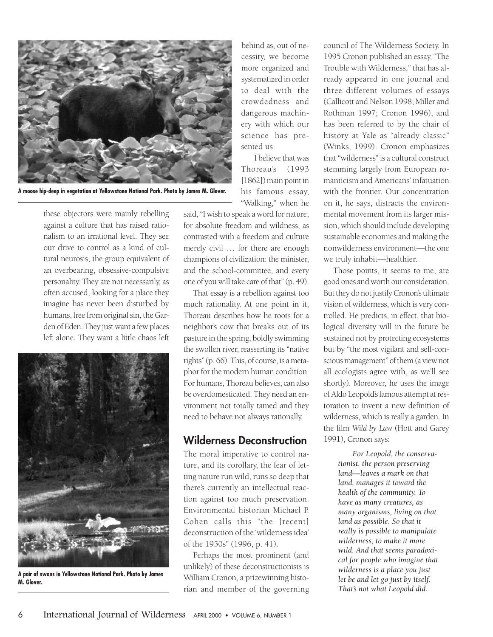

**A moose hip-deep in vegetation at Yellowstone National Park. Photo by James M. Glover.**

these objectors were mainly rebelling against a culture that has raised rationalism to an irrational level. They see our drive to control as a kind of cultural neurosis, the group equivalent of an overbearing, obsessive-compulsive personality. They are not necessarily, as often accused, looking for a place they imagine has never been disturbed by humans, free from original sin, the Garden of Eden. They just want a few places left alone. They want a little chaos left



**A pair of swans in Yellowstone National Park. Photo by James M. Glover.**

behind as, out of necessity, we become more organized and systematized in order to deal with the crowdedness and dangerous machinery with which our science has presented us.

I believe that was Thoreau's (1993 [1862]) main point in his famous essay, "Walking," when he

said, "I wish to speak a word for nature, for absolute freedom and wildness, as contrasted with a freedom and culture merely civil … for there are enough champions of civilization: the minister, and the school-committee, and every one of you will take care of that" (p. 49).

That essay is a rebellion against too much rationality. At one point in it, Thoreau describes how he roots for a neighbor's cow that breaks out of its pasture in the spring, boldly swimming the swollen river, reasserting its "native rights" (p. 66). This, of course, is a metaphor for the modern human condition. For humans, Thoreau believes, can also be overdomesticated. They need an environment not totally tamed and they need to behave not always rationally.

#### **Wilderness Deconstruction**

The moral imperative to control nature, and its corollary, the fear of letting nature run wild, runs so deep that there's currently an intellectual reaction against too much preservation. Environmental historian Michael P. Cohen calls this "the [recent] deconstruction of the 'wilderness idea' of the 1950s" (1996, p. 41).

Perhaps the most prominent (and unlikely) of these deconstructionists is William Cronon, a prizewinning historian and member of the governing

council of The Wilderness Society. In 1995 Cronon published an essay, "The Trouble with Wilderness," that has already appeared in one journal and three different volumes of essays (Callicott and Nelson 1998; Miller and Rothman 1997; Cronon 1996), and has been referred to by the chair of history at Yale as "already classic" (Winks, 1999). Cronon emphasizes that "wilderness" is a cultural construct stemming largely from European romanticism and Americans' infatuation with the frontier. Our concentration on it, he says, distracts the environmental movement from its larger mission, which should include developing sustainable economies and making the nonwilderness environment—the one we truly inhabit—healthier.

Those points, it seems to me, are good ones and worth our consideration. But they do not justify Cronon's ultimate vision of wilderness, which is very controlled. He predicts, in effect, that biological diversity will in the future be sustained not by protecting ecosystems but by "the most vigilant and self-conscious management" of them (a view not all ecologists agree with, as we'll see shortly). Moreover, he uses the image of Aldo Leopold's famous attempt at restoration to invent a new definition of wilderness, which is really a garden. In the film *Wild by Law* (Hott and Garey 1991), Cronon says:

> *For Leopold, the conservationist, the person preserving land—leaves a mark on that land, manages it toward the health of the community. To have as many creatures, as many organisms, living on that land as possible. So that it really is possible to manipulate wilderness, to make it more wild. And that seems paradoxical for people who imagine that wilderness is a place you just let be and let go just by itself. That's not what Leopold did.*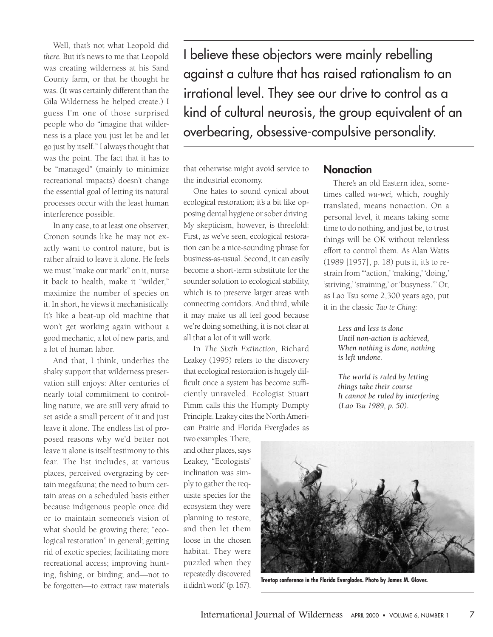Well, that's not what Leopold did *there.* But it's news to me that Leopold was creating wilderness at his Sand County farm, or that he thought he was. (It was certainly different than the Gila Wilderness he helped create.) I guess I'm one of those surprised people who do "imagine that wilderness is a place you just let be and let go just by itself." I always thought that was the point. The fact that it has to be "managed" (mainly to minimize recreational impacts) doesn't change the essential goal of letting its natural processes occur with the least human interference possible.

In any case, to at least one observer, Cronon sounds like he may not exactly want to control nature, but is rather afraid to leave it alone. He feels we must "make our mark" on it, nurse it back to health, make it "wilder," maximize the number of species on it. In short, he views it mechanistically. It's like a beat-up old machine that won't get working again without a good mechanic, a lot of new parts, and a lot of human labor.

And that, I think, underlies the shaky support that wilderness preservation still enjoys: After centuries of nearly total commitment to controlling nature, we are still very afraid to set aside a small percent of it and just leave it alone. The endless list of proposed reasons why we'd better not leave it alone is itself testimony to this fear. The list includes, at various places, perceived overgrazing by certain megafauna; the need to burn certain areas on a scheduled basis either because indigenous people once did or to maintain someone's vision of what should be growing there; "ecological restoration" in general; getting rid of exotic species; facilitating more recreational access; improving hunting, fishing, or birding; and—not to be forgotten—to extract raw materials

I believe these objectors were mainly rebelling against a culture that has raised rationalism to an irrational level. They see our drive to control as a kind of cultural neurosis, the group equivalent of an overbearing, obsessive-compulsive personality.

that otherwise might avoid service to the industrial economy.

One hates to sound cynical about ecological restoration; it's a bit like opposing dental hygiene or sober driving. My skepticism, however, is threefold: First, as we've seen, ecological restoration can be a nice-sounding phrase for business-as-usual. Second, it can easily become a short-term substitute for the sounder solution to ecological stability, which is to preserve larger areas with connecting corridors. And third, while it may make us all feel good because we're doing something, it is not clear at all that a lot of it will work.

In *The Sixth Extinction,* Richard Leakey (1995) refers to the discovery that ecological restoration is hugely difficult once a system has become sufficiently unraveled. Ecologist Stuart Pimm calls this the Humpty Dumpty Principle. Leakey cites the North American Prairie and Florida Everglades as

two examples. There, and other places, says Leakey, "Ecologists' inclination was simply to gather the requisite species for the ecosystem they were planning to restore, and then let them loose in the chosen habitat. They were puzzled when they repeatedly discovered it didn't work"(p. 167).

#### **Nonaction**

There's an old Eastern idea, sometimes called *wu-wei,* which, roughly translated, means nonaction. On a personal level, it means taking some time to do nothing, and just be, to trust things will be OK without relentless effort to control them. As Alan Watts (1989 [1957], p. 18) puts it, it's to restrain from "'action,' 'making,' 'doing,' 'striving,' 'straining,' or 'busyness.'" Or, as Lao Tsu some 2,300 years ago, put it in the classic *Tao te Ching:*

> *Less and less is done Until non-action is achieved, When nothing is done, nothing is left undone.*

*The world is ruled by letting things take their course It cannot be ruled by interfering (Lao Tsu 1989, p. 50).*



**Treetop conference in the Florida Everglades. Photo by James M. Glover.**